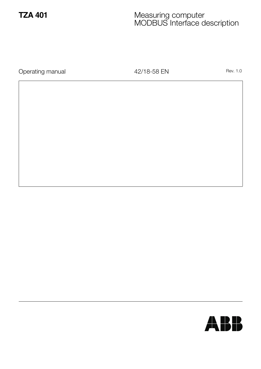## **TZA 401** Measuring computer MODBUS Interface description

Operating manual and the total 42/18-58 EN Rev. 1.0

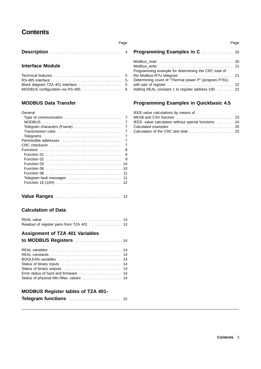## **Contents**

| Description |  |  |  |  |  |  |  |  |  |  |  |  |  |  |  |  |
|-------------|--|--|--|--|--|--|--|--|--|--|--|--|--|--|--|--|
|             |  |  |  |  |  |  |  |  |  |  |  |  |  |  |  |  |

Page

### **Interface Module**

### **MODBUS Data Transfer**

| General               |                |
|-----------------------|----------------|
|                       | 7              |
|                       | $\overline{7}$ |
|                       | 7              |
| Transmission rules    | 7              |
|                       | 7              |
| Permissible addresses | 7              |
| CRC checksum          | 7              |
|                       | -8             |
|                       | 9              |
|                       | 9              |
|                       | 10             |
|                       | 10             |
|                       | 11             |
|                       | 11             |
|                       |                |
|                       |                |

|--|--|--|--|--|--|--|--|--|--|--|--|--|--|--|--|--|--|--|--|--|--|--|--|--|--|--|--|--|--|--|

### **Calculation of Data**

| Readout of register pairs from TZA 401  13                                                               |  |
|----------------------------------------------------------------------------------------------------------|--|
| <b>Assignment of TZA 401 Variables</b><br>to MODBUS Registers  14                                        |  |
| BOOLEAN variables  14<br>Error status of hard and firmware  14<br>Status of physical Min./Max. values 14 |  |
| <b>MODBUS Register tables of TZA 401-</b>                                                                |  |

| Telegram functions  15 |
|------------------------|
|------------------------|

|                                                                                                                                | Page |
|--------------------------------------------------------------------------------------------------------------------------------|------|
|                                                                                                                                |      |
| Modbus read  20<br>Programming example for determining the CRC total of                                                        |      |
| the Modbus-RTU telegram $\ldots \ldots \ldots \ldots \ldots \ldots$ .<br>Determining count of "Thermal power P" (program P761) |      |
| with pair of register  22<br>Adding REAL constant 1 to register address 100  22                                                |      |

### **Programming Examples in Quickbasic 4.5**

| IEEE value calculations by means of                  |  |
|------------------------------------------------------|--|
|                                                      |  |
| IEEE- value calculation without special functions 24 |  |
|                                                      |  |
| Calculation of the CRC test total  25                |  |
|                                                      |  |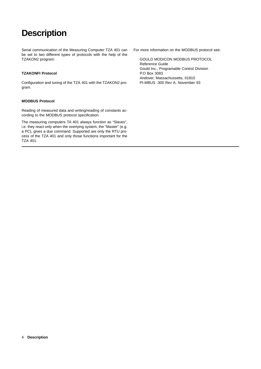# **Description**

Serial communication of the Measuring Computer TZA 401 can be set to two different types of protocols with the help of the TZAKON2 program:

#### **TZAKONFI Protocol**

Configuration and tuning of the TZA 401 with the TZAKON2 program.

#### **MODBUS Protocol**

Reading of measured data and writing/reading of constants according to the MODBUS protocol specification.

The measuring computers TA 401 always function as "Slaves", i.e. they react only when the overlying system, the "Master" (e.g. a PC), gives a due command. Supported are only the RTU process of the TZA 401 and only those functions important for the TZA 401.

For more information on the MODBUS protocol see:

GOULD MODICON MODBUS PROTOCOL Reference Guide Gould Inc., Programable Control Division P.O Box 3083 Andover, Massachussetts, 01810 PI-MBUS -300 Rev A, November 93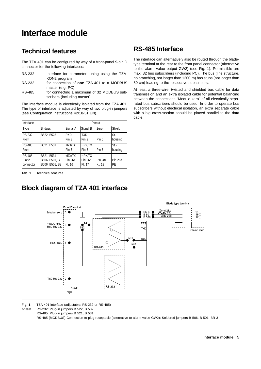# **Interface module**

## **Technical features**

The TZA 401 can be configured by way of a front-panel 9-pin D connector for the following interfaces:

| RS-232 |              | Interface for parameter tuning using the TZA- |  |  |
|--------|--------------|-----------------------------------------------|--|--|
|        | KON2 program |                                               |  |  |

RS-232 for connection of **one** TZA 401 to a MODBUS master (e.g. PC)

RS-485 for connecting a maximum of 32 MODBUS subscribers (including master)

The interface module is electrically isolated from the TZA 401. The type of interface is adjusted by way of two plug-in jumpers (see Configuration Instructions 42/18-51 EN).

| Interface                                  |                                                |                                |                               | Pinout            |                |
|--------------------------------------------|------------------------------------------------|--------------------------------|-------------------------------|-------------------|----------------|
| Type                                       | <b>Bridges</b>                                 | Signal A                       | Signal B                      | Zero              | Shield         |
| <b>RS-232</b><br>Front                     | B522, B523                                     | <b>RXD</b><br>Pin <sub>3</sub> | <b>TXD</b><br>Pin 2           | Pin 5             | St.<br>housing |
| <b>RS-485</b><br>Front                     | B521, B531                                     | $+RXTX$<br>Pin 3               | $-RX/TX$<br>Pin 8             | Pin 5             | St.<br>housing |
| <b>RS-485</b><br><b>Blade</b><br>connector | B521, B531<br>B506, B501, B3<br>B506, B501, B3 | $+RXTX$<br>Pin 26z<br>KI. 16   | $-RX/TX$<br>Pin 26d<br>KI. 17 | Pin 28z<br>KI. 18 | Pin 28d<br>PE  |

**Tab. 1** Technical features

# **Block diagram of TZA 401 interface**



The interface can alternatively also be routed through the bladetype terminal at the rear to the front panel connector (alternative to the alarm value output GW2) (see Fig. 1). Permissible are max. 32 bus subscribers (including PC). The bus (line structure, no branching, not longer than 1200 m) has stubs (not longer than 30 cm) leading to the respective subscribers.

At least a three-wire, twisted and shielded bus cable for data transmission and an extra isolated cable for potential balancing between the connections "Module zero" of all electrically separated bus subscribers should be used. In order to operate bus subscribers without electrical isolation, an extra separate cable with a big cross-section should be placed parallel to the data cable.



**Fig. 1** TZA 401 interface (adjustable: RS-232 or RS-485)

Z-18981 RS-232: Plug-in jumpers B 522, B 532

RS-485: Plug-in jumpers B 521, B 531

RS-485 (MODBUS) Connection to plug receptacle (alternative to alarm value GW2): Soldered jumpers B 506, B 501, BR 3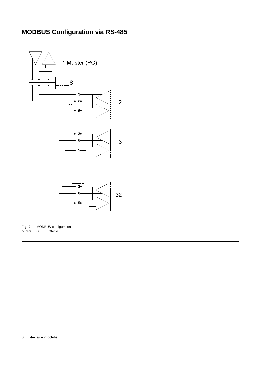

# **MODBUS Configuration via RS-485**

**Fig. 2** MODBUS configuration Z-18982 S Shield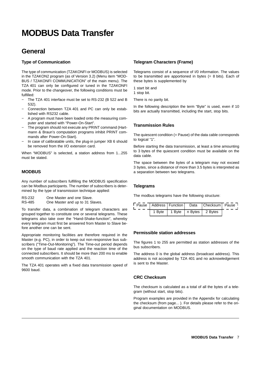# **MODBUS Data Transfer**

## **General**

#### **Type of Communication**

The type of communication (TZAKONFI or MODBUS) is selected in the TZAKON2 program (as of Version 3.2) (Menu item "MOD-BUS / TZAKONFI COMMUNICATION" of the main menu). The TZA 401 can only be configured or tuned in the TZAKONFI mode. Prior to the changeover, the following conditions must be fulfilled:

- The TZA 401 interface must be set to RS-232 (B 522 and B 532).
- − Connection between TZA 401 and PC can only be established with RS232 cable.
- − A program must have been loaded onto the measuring computer and started with "Power-On-Start".
- − The program should not execute any PRINT command (Hartmann & Braun's computation programs inhibit PRINT commands after Power-On-Start).
- In case of calibratable units, the plug-in jumper XB 6 should be removed from the I/O extension card.

When "MODBUS" is selected, a station address from 1...255 must be stated.

#### **MODBUS**

Any number of subscribers fulfilling the MODBUS specification can be Modbus participants. The number of subscribers is determined by the type of transmission technique applied:

| One Master and one Slave. | RS-232 |  |  |  |  |
|---------------------------|--------|--|--|--|--|
|---------------------------|--------|--|--|--|--|

RS-485 One Master and up to 31 Slaves.

To transfer data, a combination of telegram characters are grouped together to constitute one or several telegrams. These telegrams also take over the "Hand-Shake-function", whereby every telegram must first be answered from Master to Slave before another one can be sent.

Appropriate monitoring facilities are therefore required in the Master (e.g. PC), in order to keep out non-responsive bus subscribers ("Time-Out-Monitoring"). The Time-out period depends on the type of baud rate applied and the reaction time of the connected subscribers. It should be more than 200 ms to enable smooth communication with the TZA 401.

The TZA 401 operates with a fixed data transmission speed of 9600 baud.

#### **Telegram Characters (Frame)**

Telegrams consist of a sequence of I/0 information. The values to be transmitted are apportioned in bytes (= 8 bits). Each of these bytes is supplemented by

1 start bit and

1 stop bit.

There is no parity bit.

In the following description the term "Byte" is used, even if 10 bits are actually transmitted, including the start, stop bits.

#### **Transmission Rules**

The quiescent condition (= Pause) of the data cable corresponds to logical "1".

Before starting the data transmission, at least a time amounting to 3 bytes of the quiescent condition must be available on the data cable.

The space between the bytes of a telegram may not exceed 3 bytes, since a distance of more than 3.5 bytes is interpreted as a separation between two telegrams.

#### **Telegrams**

The modbus telegrams have the following structure:

|  |  | Pause   Address   Function   Data   Checksum   Pause |  |
|--|--|------------------------------------------------------|--|
|  |  | 1 Byte   1 Byte   n Bytes   2 Bytes                  |  |

#### **Permissible station addresses**

The figures 1 to 255 are permitted as station addresses of the bus subscribers.

The address 0 is the global address (broadcast address). This address is not accepted by TZA 401 and no acknowledgement is sent to the Master.

#### **CRC Checksum**

The checksum is calculated as a total of all the bytes of a telegram (without start, stop bits).

Program examples are provided in the Appendix for calculating the checksum (from page... ). For details please refer to the original documentation on MODBUS.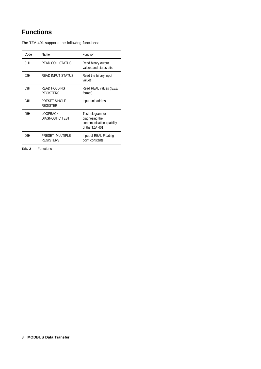# **Functions**

The TZA 401 supports the following functions:

| Code | Name                                      | Function                                                                          |
|------|-------------------------------------------|-----------------------------------------------------------------------------------|
| 01H  | <b>READ COIL STATUS</b>                   | Read binary output<br>values and status bits                                      |
| 02H  | <b>READ INPUT STATUS</b>                  | Read the binary input<br>values                                                   |
| 03H  | <b>READ HOLDING</b><br><b>REGISTERS</b>   | Read REAL values (IEEE<br>format)                                                 |
| 04H  | PRESET SINGLE<br><b>REGISTER</b>          | Input unit address                                                                |
| 05H  | <b>LOOPBACK</b><br><b>DIAGNOSTIC TEST</b> | Test telegram for<br>diagnosing the<br>conmmunication cpability<br>of the TZA 401 |
| O6H  | PRESET MULTIPLE<br><b>REGISTERS</b>       | Input of REAL Floating<br>point constants                                         |

**Tab. 2** Functions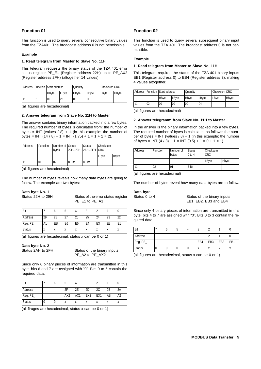#### **Function 01**

This function is used to query several consecutive binary values from the TZA401. The broadcast address 0 is not permissible.

#### **Example**

#### **1. Read telegram from Master to Slave No. 11H**

This telegram requests the binary status of the TZA 401 error status register PE\_E1 (Register address 22H) up to PE\_AX2 (Register address 2FH) (altogether 14 values).

|    | <b>Address Function Start address</b> |       | Quantity               |    | Checksum CRC |               |
|----|---------------------------------------|-------|------------------------|----|--------------|---------------|
|    | <b>HB</b> vte                         | LByte | <b>HB</b> vte<br>LByte |    | LByte        | <b>HB</b> vte |
| 01 | 00                                    | 22    | 00                     | 0E |              |               |

(all figures are hexadecimal)

#### **2. Answer telegram from Slave No. 11H to Master**

The answer contains binary information packed into a few bytes. The required number of bytes is calculated from: the number of bytes = INT (values  $/ 8$ ) + 1 (in this example: the number of bytes = INT  $(14 / 8) + 1 =$  INT  $(1,75) + 1 = 1 + 1 = 2$ .

| Address       | Function | Number of Status<br>bytes |          | <b>Status</b><br>22H29H 2AH2FH CRC | Checksum |       |
|---------------|----------|---------------------------|----------|------------------------------------|----------|-------|
|               |          |                           |          |                                    | LByte    | Hbyte |
|               | 01       | 02                        | 8 Bits   | 8 Bits                             |          |       |
| $\sim$ $\sim$ |          |                           | $\cdots$ |                                    |          |       |

(all figures are hexadecimal)

The number of bytes reveals how many data bytes are going to follow. The example are two bytes:

#### **Data byte No. 1**

Status 22H to 29H Status of the error status register PE\_E1 to PE\_A1

| <b>Bit</b>    |           |    |    |                |    |    |                |  |
|---------------|-----------|----|----|----------------|----|----|----------------|--|
| Address       | 29        | 28 |    | 26             | 25 | 24 | 23             |  |
| Reg. PE_      | <b>A1</b> | EB | E6 | E <sub>5</sub> | E4 | E3 | E <sub>2</sub> |  |
| <b>Status</b> |           |    |    |                |    |    |                |  |

(all figures are hexadecimal, status x can be 0 or 1)

#### **Data byte No. 2**

Status 2AH to 2FH Status of the binary inputs PE\_A2 to PE\_AX2

Since only 6 binary pieces of information are transmitted in this byte, bits 6 and 7 are assigned with "0". Bits 0 to 5 contain the required data.

| <b>Bit</b>    |  |                 |                 |                 |                 |    |    |
|---------------|--|-----------------|-----------------|-----------------|-----------------|----|----|
| Adresse       |  | 2F              | 2F              | 2D              | 2C              | 2B | 2Α |
| Reg. PE_      |  | AX <sub>2</sub> | AX <sub>1</sub> | EX <sub>2</sub> | EX <sub>1</sub> | AB | A2 |
| <b>Status</b> |  |                 |                 |                 |                 |    |    |

(all firuges are hexadecimal, status x can be 0 or 1)

#### **Function 02**

This function is used to query several subsequent binary input values from the TZA 401. The broadcast address 0 is not permissible.

#### **Example**

#### **1. Read telegram from Master to Slave No. 11H**

This telegram requires the status of the TZA 401 binary inputs EB1 (Register address 0) to EB4 (Register address 3), making 4 values altogether.

|    | <b>Address Function Start address</b> |       | Quantity      |       | Checksum CRC |               |
|----|---------------------------------------|-------|---------------|-------|--------------|---------------|
|    | <b>HB</b> vte                         | LByte | <b>HB</b> vte | LByte | LBvte        | <b>HB</b> vte |
| 02 | 00                                    | 00    | 00            | 04    |              |               |

(all figures are hexadecimal)

#### **2. Answer telegramm from Slave No. 11H to Master**

In the answer is the binary information packed into a few bytes. The required number of bytes is calculated as follows: the number of bytes = INT (values  $/ 8$ ) + 1 (in this example: the number of bytes =  $INT (4 / 8) + 1 = INT (0.5) + 1 = 0 + 1 = 1$ .

| Address | Function | Number of<br>bytes | <b>Status</b><br>$0$ to $4$ | Checksum<br><b>CRC</b> |       |  |
|---------|----------|--------------------|-----------------------------|------------------------|-------|--|
|         |          |                    |                             | LByte                  | Hbyte |  |
|         | 02       | 01                 | 8 Bit                       |                        |       |  |

(all figures are hexadecimal)

The number of bytes reveal how many data bytes are to follow.

#### **Data byte**

Status 0 to 4 Status of the binary inputs EB1, EB2, EB3 and EB4

Since only 4 binary pieces of information are transmitted in this byte, bits 4 to 7 are assigned with "0". Bits 0 to 3 contain the required data.

| Bit           |   |  | w   |                 |                 |     |
|---------------|---|--|-----|-----------------|-----------------|-----|
| Address       |   |  |     |                 |                 |     |
| Reg. PE_      |   |  | EB4 | EB <sub>3</sub> | EB <sub>2</sub> | EB1 |
| <b>Status</b> | U |  |     |                 |                 | л   |

(all figures are hexadecimal, status x can be 0 or 1)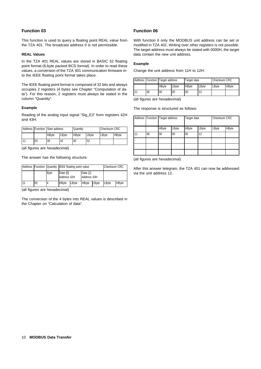#### **Function 03**

This function is used to query a floating point REAL value from the TZA 401. The broadcast address 0 is not permissible.

#### **REAL Values**

In the TZA 401 REAL values are stored in BASIC 52 floating point format (6-byte packed BCD format). In order to read these values, a conversion of the TZA 401 communication firmware into the IEEE floating point format takes place.

The IEEE floating point format is composed of 32 bits and always occupies 2 registers (4 bytes see Chapter "Computation of data"). For this reason, 2 registers must always be stated in the column "Quantity".

#### **Example**

Reading of the analog input signal "Sig\_E3" from registers 42H and 43H:

|    | Address Function Start address |       | Quantity      |       | Checksum CRC |               |
|----|--------------------------------|-------|---------------|-------|--------------|---------------|
|    | <b>HB</b> vte                  | LByte | <b>HB</b> vte | LByte | <b>LBvte</b> | <b>HB</b> vte |
| 03 | 00                             | 42    | 00            | 02    |              |               |

(all figures are hexadecimal)

The answer has the following structure:

|    | Address Function Quantity IEEE floating point value |              |                         |       | <b>Checksum CRC</b>     |       |       |              |
|----|-----------------------------------------------------|--------------|-------------------------|-------|-------------------------|-------|-------|--------------|
|    |                                                     | <b>B</b> vte | Date [0]<br>Address 42H |       | Date [1]<br>Address 43H |       |       |              |
| 11 | 03                                                  |              | <b>HB</b> vte           | LByte | <b>HB</b> vte           | LByte | LByte | <b>HBvte</b> |

(all figures are hexadecimal)

The conversion of the 4 bytes into REAL values is described in the Chapter on "Calculation of data".

#### **Function 06**

With function 6 only the MODBUS unit address can be set or modified in TZA 401. Writing over other registers is not possible. The target address must always be stated with 0000H, the target data contain the new unit address.

#### **Example**

Change the unit address from 11H to 12H:

|    | Address Function Target address |       | Target data   |       | Checksum CRC |              |
|----|---------------------------------|-------|---------------|-------|--------------|--------------|
|    | <b>HB</b> vte                   | LByte | <b>HB</b> vte | LByte | LByte        | <b>HBvte</b> |
| 06 | 00                              | 00    | 00            | 12    |              |              |

(all figures are hexadecimal)

The response is structured as follows:

|    |    | Address Function Target address |       | Target data  |       | Checksum CRC |       |  |
|----|----|---------------------------------|-------|--------------|-------|--------------|-------|--|
|    |    | <b>HByte</b>                    | LByte | <b>HByte</b> | LByte | LByte        | HByte |  |
| 11 | 06 | 00                              | 00    | $00\,$       | 12    |              |       |  |
|    |    |                                 |       |              |       |              |       |  |
|    |    |                                 |       |              |       |              |       |  |
|    |    |                                 |       |              |       |              |       |  |

(all figures are hexadecimal)

After this answer telegram, the TZA 401 can now be addressed via the unit address 12.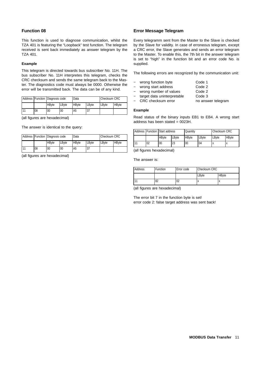#### **Function 08**

This function is used to diagnose communication, whilst the TZA 401 is featuring the "Loopback" test function. The telegram received is sent back immediately as answer telegram by the TZA 401.

#### **Example**

This telegram is directed towards bus subscriber No. 11H. The bus subscriber No. 11H interpretes this telegram, checks the CRC checksum and sends the same telegram back to the Master. The diagnostics code must always be 0000. Otherwise the error will be transmitted back. The data can be of any kind.

|    | Address Function Diagnosis code |       | Data          |       | Checksum CRC |               |
|----|---------------------------------|-------|---------------|-------|--------------|---------------|
|    | <b>HB</b> vte                   | LByte | <b>HB</b> vte | LByte | LByte        | <b>HB</b> vte |
| 08 | 00                              | 00    | A5            | 37    |              |               |

(all figures are hexadecimal)

The answer is identical to the query:

|    | Address Function Diagnosis code |       | Data         |       | Checksum CRC |              |
|----|---------------------------------|-------|--------------|-------|--------------|--------------|
|    | <b>HB</b> vte                   | LByte | <b>HBvte</b> | LByte | LByte        | <b>HBvte</b> |
| 08 | 00                              | 00    | A5           | 37    |              |              |

(all figures are hexadecimal)

#### **Error Message Telegram**

Every telegramm sent from the Master to the Slave is checked by the Slave for validity. In case of erroneous telegram, except a CRC error, the Slave generates and sends an error telegram to the Master. To enable this, the 7th bit in the answer telegram is set to "high" in the function bit and an error code No. is supplied.

The following errors are recognized by the communication unit:

- − wrong function byte Code 1
- − wrong start address Code 2
- − wrong number of values Code 2
- − target data uninterpretable Code 3
- CRC checksum error no answer telegram

#### **Example**

Read status of the binary inputs EB1 to EB4. A wrong start address has been stated =  $0023H$ .

|    | Address Function Start address |       | Quantity      |       | <b>Checksum CRC</b> |               |
|----|--------------------------------|-------|---------------|-------|---------------------|---------------|
|    | <b>HB</b> vte                  | LByte | <b>HB</b> vte | LByte | LBvte               | <b>HB</b> vte |
| 02 | 00                             | 23    | 00            | 04    |                     |               |

(all figures hexadecimal)

The answer is:

| Address | Function | Error code | Checksum CRC |       |
|---------|----------|------------|--------------|-------|
|         |          |            | LByte        | HByte |
|         | 82       | 02         |              |       |

(all figures are hexadecimal)

The error bit 7 in the function byte is set! error code 2: false target address was sent back!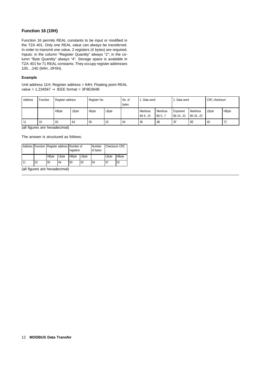#### **Function 16 (10H)**

Function 16 permits REAL constants to be input or modified in the TZA 401. Only one REAL value can always be transferred. In order to transmit one value, 2 registers (4 bytes) are required. Inputs: in the column "Register Quantity" always "2"; in the column "Byte Quantity" always "4". Storage space is available in TZA 401 for 71 REAL constants. They occupy register addresses 100....240 (64H...0F0H).

#### **Example**

Unit address 11H; Register address = 64H; Floating point REAL value =  $1.234567 \rightarrow$  IEEE format = 3F9E064B

| Address | Function | Register address |       | Register No. |       | No. of<br>bytes | . Data word         |                    | 2. Data word         |                      | CRC checksum |       |
|---------|----------|------------------|-------|--------------|-------|-----------------|---------------------|--------------------|----------------------|----------------------|--------------|-------|
|         |          | HBvte            | LByte | Hbyte        | LByte |                 | Mantissa<br>Bit 815 | Mantissa<br>Bit 07 | Exponent<br>Bit 2431 | Mantissa<br>Bit 1623 | LBvte        | HByte |
|         | 10       | 00               | 64    | 00           | 02    | 04              | 06                  | 4B                 | 3F                   | 9E                   | 40           | 72    |

(all figures are hexadecimal)

The answer is structured as follows:

|    | Address   Function   Register address   Number of |       | registers     |       | Number<br>of bytes | <b>Checksum CRC</b> |              |
|----|---------------------------------------------------|-------|---------------|-------|--------------------|---------------------|--------------|
|    | <b>HB</b> vte                                     | LByte | <b>HB</b> vte | LByte |                    | LByte               | <b>HByte</b> |
| 10 | 00                                                | 64    | 00            | 02    | 04                 | 07                  | 02           |

(all figures are hexadecimal)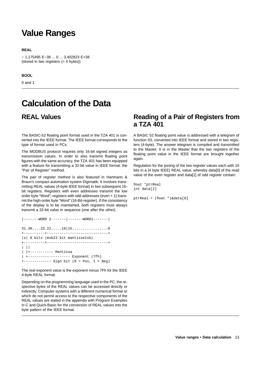# **Value Ranges**

#### **REAL**

− 1,175495 E−38 ... 0 ... 3,402823 E+38 (stored in two registers (= 4 bytes))

#### **BOOL**

0 and 1

# **Calculation of the Data**

### **REAL Values**

The BASIC-52 floating point format used in the TZA 401 is converted into the IEEE format. The IEEE format corresponds to the type of format used in PCs.

The MODBUS protocol requires only 16-bit signed integers as transmission values. In order to also transmit floating point figures with the same accuracy, the TZA 401 has been equipped with a feature for transmitting a 32-bit value in IEEE format: the "Pair of Register" method.

The pair of register method is also featured in Hartmann & Braun's compact automation system Digimatik. It involves transmitting REAL values (4-byte IEEE format) in two subsequent 16 bit registers. Registers with even addresses transmit the low order byte "Word"; registers with odd addresses (even + 1) transmit the high-order byte "Word" (16-Bit-register). If the consistency of the display is to be maintained, both registers must always transmit a 32-bit value in sequence (one after the other).

| $ -----WORD 2----- - -1-----$                                                        |
|--------------------------------------------------------------------------------------|
| 31.3023.2216 15                                                                      |
| $ s $ 8 bits $ msb23$ bit mantisselsb                                                |
| $\Box$<br>    +----------- Mantissa                                                  |
| $+$ -------------------- Exponent (7fh)<br>+------------ Sign bit (0 = Pos, 1 = Neg) |

The real exponent value is the exponent minus 7Fh for the IEEE 4-byte REAL format.

Depending on the programming language used in the PC, the respective bytes of the REAL values can be accessed directly or indirectly. Computer systems with a different numerical format or which do not permit access to the respective components of the REAL values are stated in the appendix with Program Examples in C and Quick-Basic for the conversion of REAL values into the byte pattern of the IEEE format.

### **Reading of a Pair of Registers from a TZA 401**

A BASIC 52 floating point value is addressed with a telegram of function 03, converted into IEEE format and stored in two registers (4-byte). The answer telegram is compiled and transmitted to the Master. It is in the Master that the two registers of the floating point value in the IEEE format are brought together again.

Regulation for the joining of the two register values each with 16 bits in a (4 byte IEEE) REAL value, whereby data[0] of the read value of the even register and data[1] of odd register contain:

float \*ptrReal int data[2]

ptrReal = (float \*)&data[0]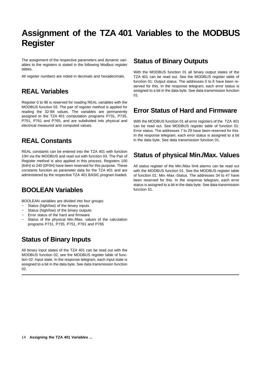# **Assignment of the TZA 401 Variables to the MODBUS Register**

The assignment of the respective parameters and dynamic variables to the registers is stated in the following Modbus register tables.

All register numbers are noted in decimals and hexadecimals.

## **REAL Variables**

Register 0 to 96 is reserved for reading REAL variables with the MODBUS function 03. The pair of register method is applied for reading the 32-Bit values. The variables are permanently assigned to the TZA 401 computation programs P731, P735, P751, P761 and P765, and are subdivided into physical and electrical measured and computed values.

## **REAL Constants**

REAL constants can be entered into the TZA 401 with function 10H via the MODBUS and read out with function 03. The Pair of Register method is also applied in this process. Registers 100 (64H) to 240 (0F0H) have been reserved for this purpose. These constants function as parameter data for the TZA 401 and are administered by the respective TZA 401 BASIC program loaded.

## **BOOLEAN Variables**

BOOLEAN variables are divided into four groups:

- − Status (high/low) of the binary inputs
- − Status (high/low) of the binary outputs
- − Error status of the hard and firmware
- Status of the physical Min./Max. values of the calculation programs P731, P735, P751, P761 and P765

## **Status of Binary Inputs**

All binary input states of the TZA 401 can be read out with the MODBUS function 02, see the MODBUS register table of function 02: Input state. In the response telegram, each input state is assigned to a bit in the data byte. See data transmission function 02.

### **Status of Binary Outputs**

With the MODBUS function 01 all binary output states of the TZA 401 can be read out. See the MODBUS register table of function 01: Output status. The addresses 0 to 6 have been reserved for this. In the response telegram, each error status is assigned to a bit in the data byte. See data transmission function በ1.

### **Error Status of Hard and Firmware**

With the MODBUS function 01 all error registers of the TZA 401 can be read out. See MODBUS register table of function 01: Error status. The addresses 7 to 29 have been reserved for this. In the response telegram, each error status is assigned to a bit in the data byte. See data transmission function 01.

## **Status of physical Min./Max. Values**

All status register of the Min./Max limit alarms can be read out with the MODBUS function 01. See the MODBUS register table of function 01: Min.-Max.-Status. The addresses 34 to 47 have been reserved for this. In the response telegram, each error status is assigned to a bit in the data byte. See data transmission function 01.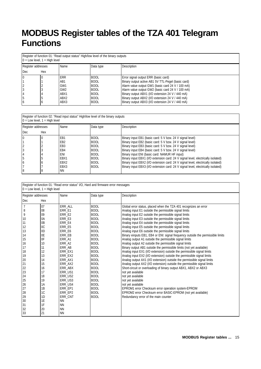# **MODBUS Register tables of the TZA 401 Telegram Functions**

Register of function 01: "Read output status" High/low level of the binary outputs 0 = Low level, 1 = High level

|                    | $U = LOW$ level, $I = HUII$ level |                                                                     |                                                          |                                                                                                                                                                                                      |  |  |  |  |
|--------------------|-----------------------------------|---------------------------------------------------------------------|----------------------------------------------------------|------------------------------------------------------------------------------------------------------------------------------------------------------------------------------------------------------|--|--|--|--|
| Register addresses |                                   | Name                                                                | Data type                                                | <b>Description</b>                                                                                                                                                                                   |  |  |  |  |
| Dec.               | Hex                               |                                                                     |                                                          |                                                                                                                                                                                                      |  |  |  |  |
|                    |                                   | <b>ERR</b><br>AB <sub>1</sub><br>GW <sub>1</sub><br>GW <sub>2</sub> | <b>BOOL</b><br><b>BOOL</b><br><b>BOOL</b><br><b>BOOL</b> | Error signal output ERR (basic card)<br>Binary output active AB1 5V TTL-Pegel (basic card)<br>Alarm value output GW1 (basic card 24 V / 100 mA)<br>Alarm value output GW2 (basic card 24 V / 100 mA) |  |  |  |  |
| 5<br>16            |                                   | ABX1<br>ABX2<br>ABX3                                                | <b>BOOL</b><br><b>BOOL</b><br><b>BOOL</b>                | Binary output ABX1 (I/O extension 24 V / 440 mA)<br>Binary output ABX2 (I/O extension 24 V / 440 mA)<br>Binary output ABX3 (I/O extension 24 V / 440 mA)                                             |  |  |  |  |

| Register of function 02: "Read input status" High/low level of the binary outputs |
|-----------------------------------------------------------------------------------|
| $0 =$ Low level, $1 =$ High level                                                 |

|            | Register addresses | Name             | Data type   | Description                                                                      |
|------------|--------------------|------------------|-------------|----------------------------------------------------------------------------------|
| <b>Dec</b> | Hex                |                  |             |                                                                                  |
|            |                    | EB1              | <b>BOOL</b> | Binary input EB1 (basic card: 5 V bzw. 24 V signal level)                        |
|            |                    | EB <sub>2</sub>  | <b>BOOL</b> | Binary input EB2 (basic card: 5 V bzw. 24 V signal level)                        |
|            |                    | EB <sub>3</sub>  | <b>BOOL</b> | Binary input EB3 (basic card: 5 V bzw. 24 V signal level)                        |
|            |                    | EB4              | <b>BOOL</b> | Binary input EB4 (basic card: 5 V bzw. 24 V signal level)                        |
|            |                    | ENI              | <b>BOOL</b> | Binary input ENI (basic card: NAMUR HF input)                                    |
|            |                    | EBX1             | <b>BOOL</b> | Binary input EBX1 (I/O extension card: 24 V signal level, electrically isolated) |
|            |                    | EBX <sub>2</sub> | <b>BOOL</b> | Binary input EBX2 (I/O extension card: 24 V signal level, electrically isolated) |
|            |                    | EBX3             | <b>BOOL</b> | Binary input EBX3 (I/O extension card: 24 V signal level, electrically isolated) |
| 8          | 8                  | <b>NN</b>        |             |                                                                                  |

| Register of function 01: "Read error status" I/O, Hard and firmware error messages |  |
|------------------------------------------------------------------------------------|--|
| $0 =$ Low level, $1 =$ High level                                                  |  |

| Register addresses |                | Name           | Data type   | Description                                                                     |
|--------------------|----------------|----------------|-------------|---------------------------------------------------------------------------------|
| Dec                | Hex            |                |             |                                                                                 |
| $\overline{7}$     | 07             | ERR_ALL        | <b>BOOL</b> | Global error status, placed when the TZA 401 recognizes an error                |
| 8                  | 08             | ERR E1         | <b>BOOL</b> | Analog input E1 outside the permissible signal limits                           |
| 9                  | 09             | ERR E2         | <b>BOOL</b> | Analog input E2 outside the permissible signal limits                           |
| 10                 | 0A             | ERR E3         | <b>BOOL</b> | Analog input E3 outside the permissible signal limits                           |
| 11                 | 0 <sub>B</sub> | ERR E4         | <b>BOOL</b> | Analog input E4 outside the permissible signal limits                           |
| 12                 | 0C             | ERR E5         | <b>BOOL</b> | Analog input E5 outside the permissible signal limits                           |
| 13                 | 0D             | ERR E6         | <b>BOOL</b> | Analog input E6 outside the permissible signal limits                           |
| 14                 | 0E             | ERR EB         | <b>BOOL</b> | Binary einputs EB1, EB4 or ENI: signal frequency outside the permissible limits |
| 15                 | 0F             | ERR A1         | <b>BOOL</b> | Analog output A1 outside the permissible signal limits                          |
| 16                 | 10             | ERR_A2         | <b>BOOL</b> | Analog output A2 outside the permissible signal limits                          |
| 17                 | 11             | <b>ERR AB</b>  | <b>BOOL</b> | Binary output AB1 outside the permissible limits (not yet available)            |
| 18                 | 12             | ERR EX1        | <b>BOOL</b> | Analog input EX1 (I/O extension) outside the permissible signal limits          |
| 19                 | 13             | ERR EX2        | <b>BOOL</b> | Analog input EX2 (I/O extension) outside the permissible signal limits          |
| 20                 | 14             | ERR AX1        | <b>BOOL</b> | Analog output AX1 (I/O extension) outside the permissible signal limits         |
| 21                 | 15             | ERR AX2        | <b>BOOL</b> | Analog output AX2 (I/O extension) outside the permissible signal limits         |
| 22                 | 16             | ERR ABX        | <b>BOOL</b> | Short-circuit or overloading of binary output ABX1, ABX2 or ABX3                |
| 23                 | 17             | ERR US1        | <b>BOOL</b> | not yet available                                                               |
| 24                 | 18             | ERR US2        | <b>BOOL</b> | not yet available                                                               |
| 25                 | 19             | <b>ERR US3</b> | <b>BOOL</b> | not yet available                                                               |
| 26                 | 1A             | ERR US4        | <b>BOOL</b> | not yet available                                                               |
| 27                 | 1B             | ERR EP1        | <b>BOOL</b> | EPROM1 error Checksum error operation system-EPROM                              |
| 28                 | 1C             | ERR EP2        | <b>BOOL</b> | EPROM2 error Checksum error BASIC-EPROM (not yet available)                     |
| 29                 | 1D             | ERR CNT        | <b>BOOL</b> | Redundancy error of the main counter                                            |
| 30                 | 1E             | <b>NN</b>      |             |                                                                                 |
| 31                 | 1F             | <b>NN</b>      |             |                                                                                 |
| 32                 | 20             | <b>NN</b>      |             |                                                                                 |
| 33                 | 21             | <b>NN</b>      |             |                                                                                 |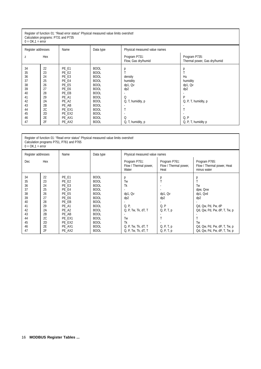#### Register of function 01: "Read error status" Physical measured value limits overshot! Calculation programs: P731 and P735

| $0 = OK, 1 = error$                                |                                                    |                                                                               |                                                                                                                                     |                                                                      |                                                                    |  |
|----------------------------------------------------|----------------------------------------------------|-------------------------------------------------------------------------------|-------------------------------------------------------------------------------------------------------------------------------------|----------------------------------------------------------------------|--------------------------------------------------------------------|--|
| Register addresses                                 |                                                    | Name                                                                          | Data type                                                                                                                           | Physical measured value names                                        |                                                                    |  |
| Z                                                  | Hex                                                |                                                                               |                                                                                                                                     | Program P731:<br>Flow, Gas dry/humid                                 | Program P735:<br>Thermal power, Gas dry/humid                      |  |
| 34<br>35<br>36<br>37<br>38<br>39<br>40<br>41<br>42 | 22<br>23<br>24<br>25<br>26<br>27<br>28<br>29<br>2A | PE E1<br>PE_E2<br>PE E3<br>PE E4<br>PE E5<br>PE E6<br>PE_EB<br>PE_A1<br>PE A2 | <b>BOOL</b><br><b>BOOL</b><br><b>BOOL</b><br><b>BOOL</b><br><b>BOOL</b><br><b>BOOL</b><br><b>BOOL</b><br><b>BOOL</b><br><b>BOOL</b> | р<br>density<br>humidity<br>dp1, Qv<br>dp2<br>Q<br>Q, T, humidity, p | р<br>Hu<br>humidity<br>dp1, Qv<br>dp2<br>D<br>Q, P, T, humidity, p |  |
| 43<br>44<br>45<br>46<br>47                         | 2B<br>2C<br>2D<br>2E<br>2F                         | PE AB<br>PE EX1<br>PE EX2<br>PE AX1<br>PE AX2                                 | <b>BOOL</b><br><b>BOOL</b><br><b>BOOL</b><br><b>BOOL</b><br><b>BOOL</b>                                                             | Q<br>Q, T, humidity, p                                               | Q, P<br>Q, P, T, humidity p                                        |  |

| Register of function 01: "Read error status" Physical measured value limits overshot!<br>Calculation programs P751, P761 and P765<br>$0 = OK, 1 = error$ |                                                                                  |                                                                                                                                |                                                                                                                                                                                                                |                                                                                                                                       |                                                                       |                                                                                                                                                                              |  |
|----------------------------------------------------------------------------------------------------------------------------------------------------------|----------------------------------------------------------------------------------|--------------------------------------------------------------------------------------------------------------------------------|----------------------------------------------------------------------------------------------------------------------------------------------------------------------------------------------------------------|---------------------------------------------------------------------------------------------------------------------------------------|-----------------------------------------------------------------------|------------------------------------------------------------------------------------------------------------------------------------------------------------------------------|--|
| Register addresses                                                                                                                                       |                                                                                  | Name                                                                                                                           | Data type                                                                                                                                                                                                      | Physical measured value names                                                                                                         |                                                                       |                                                                                                                                                                              |  |
| Dec                                                                                                                                                      | Hex                                                                              |                                                                                                                                |                                                                                                                                                                                                                | Program P751:<br>Flow / Thermal power,<br>Water                                                                                       | Program P761:<br>Flow / Thermal power,<br>Heat                        | Program P765:<br>Flow / Thermal power, Heat<br>minus water                                                                                                                   |  |
| 34<br>35<br>36<br>37<br>38<br>39<br>40<br>41<br>42<br>43<br>44<br>45<br>46<br>47                                                                         | 22<br>23<br>24<br>25<br>26<br>27<br>28<br>29<br>2A<br>2B<br>2C<br>2D<br>2E<br>2F | PE E1<br>PE E2<br>PE E3<br>PE_E4<br>PE E5<br>PE E6<br>PE EB<br>PE_A1<br>PE_A2<br>PE AB<br>PE EX1<br>PE EX2<br>PE_AX1<br>PE AX2 | <b>BOOL</b><br><b>BOOL</b><br><b>BOOL</b><br><b>BOOL</b><br><b>BOOL</b><br><b>BOOL</b><br><b>BOOL</b><br><b>BOOL</b><br><b>BOOL</b><br><b>BOOL</b><br><b>BOOL</b><br><b>BOOL</b><br><b>BOOL</b><br><b>BOOL</b> | р<br>Tw<br>Tk<br>dp1, Qv<br>dp <sub>2</sub><br>Q, P,<br>Q, P, Tw, Tk, dT, T<br>Tw<br>Tk<br>Q, P, Tw, Tk, dT, T<br>Q, P, Tw, Tk, dT, T | р<br>dp1, Qv<br>dp2<br>Q, P<br>Q, P, T, p<br>Q, P, T, p<br>Q, P, T, p | р<br>T<br>Tw<br>dpw, Qvw<br>dp1, Qvd<br>dp2<br>Qd, Qw, Pd, Pw, dP<br>Qd, Qw, Pd, Pw, dP, T, Tw, p<br>T<br>Tw<br>Qd, Qw, Pd, Pw, dP, T, Tw, p<br>Qd, Qw, Pd, Pw, dP, T, Tw, p |  |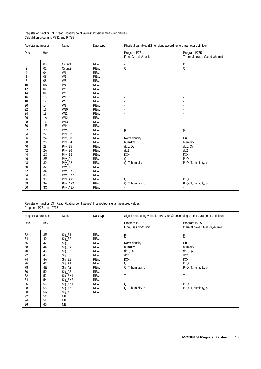| Register of function 03: "Read Floating point values" Physical measured values<br>Calculation programs P731 and P 735                                                                                                                                                                                                                                                                                                                                                                                                                                          |                                                                                                                                                                                                                            |                                                                                                                                                                                                                                                                                                                                                                                                                                                                               |                                                                                                                                                                                                     |                                                                                                                                  |  |  |
|----------------------------------------------------------------------------------------------------------------------------------------------------------------------------------------------------------------------------------------------------------------------------------------------------------------------------------------------------------------------------------------------------------------------------------------------------------------------------------------------------------------------------------------------------------------|----------------------------------------------------------------------------------------------------------------------------------------------------------------------------------------------------------------------------|-------------------------------------------------------------------------------------------------------------------------------------------------------------------------------------------------------------------------------------------------------------------------------------------------------------------------------------------------------------------------------------------------------------------------------------------------------------------------------|-----------------------------------------------------------------------------------------------------------------------------------------------------------------------------------------------------|----------------------------------------------------------------------------------------------------------------------------------|--|--|
| Register addresses                                                                                                                                                                                                                                                                                                                                                                                                                                                                                                                                             | Name                                                                                                                                                                                                                       | Data type                                                                                                                                                                                                                                                                                                                                                                                                                                                                     | Physical variables (Dimensions according to parameter definition)                                                                                                                                   |                                                                                                                                  |  |  |
| Dec<br>Hex                                                                                                                                                                                                                                                                                                                                                                                                                                                                                                                                                     |                                                                                                                                                                                                                            |                                                                                                                                                                                                                                                                                                                                                                                                                                                                               | Program P731:<br>Flow, Gas dry/humid                                                                                                                                                                | Program P735:<br>Thermal power, Gas dry/humid                                                                                    |  |  |
| $00\,$<br>0<br>02<br>$\overline{2}$<br>04<br>W <sub>1</sub><br>4<br>06<br>W <sub>2</sub><br>6<br>08<br>W <sub>3</sub><br>8<br>0A<br>W <sub>4</sub><br>10<br>0 <sup>C</sup><br>12<br>W <sub>5</sub><br>0E<br>W <sub>6</sub><br>14<br>10<br>W7<br>16<br>18<br>12<br>W <sub>8</sub><br>20<br>14<br>W <sub>9</sub><br>16<br>22<br>18<br>24<br>26<br>1A<br>1C<br>28<br>1E<br>30<br>32<br>20<br>34<br>22<br>36<br>24<br>26<br>38<br>28<br>40<br>2A<br>42<br>2C<br>44<br>2E<br>46<br>30<br>48<br>32<br>50<br>52<br>34<br>54<br>36<br>56<br>38<br>3A<br>58<br>3C<br>60 | Count1<br>Count <sub>2</sub><br>W10<br>W11<br>W12<br>W13<br>W14<br>Phy_E1<br>Phy E2<br>Phy E3<br>Phy_E4<br>Phy_E5<br>Phy_E6<br>Phy_EB<br>Phy_A1<br>Phy_A2<br>Phy AB<br>Phy_EX1<br>Phy_EX2<br>Phy_AX1<br>Phy_AX2<br>Phy_ABX | <b>REAL</b><br><b>REAL</b><br><b>REAL</b><br><b>REAL</b><br><b>REAL</b><br><b>REAL</b><br><b>REAL</b><br><b>REAL</b><br><b>REAL</b><br><b>REAL</b><br><b>REAL</b><br><b>REAL</b><br><b>REAL</b><br><b>REAL</b><br><b>REAL</b><br><b>REAL</b><br><b>REAL</b><br><b>REAL</b><br><b>REAL</b><br><b>REAL</b><br><b>REAL</b><br><b>REAL</b><br><b>REAL</b><br><b>REAL</b><br><b>REAL</b><br><b>REAL</b><br><b>REAL</b><br><b>REAL</b><br><b>REAL</b><br><b>REAL</b><br><b>REAL</b> | $\blacksquare$<br>Q<br>ä,<br>ä,<br>ä,<br>ä,<br>÷,<br>ä,<br>р<br>T<br>Norm-density<br>humidity<br>dp1, Qv<br>dp2<br>f(QV)<br>Q<br>Q, T, humidity, p<br>$\blacksquare$<br>T<br>Q<br>Q, T, humidity, p | P<br>Q<br>р<br>T<br>Hu<br>humidity<br>dp1, Qv<br>dp2<br>f(Qv)<br>P.Q<br>P, Q, T, humidity, p<br>T<br>P.Q<br>P, Q, T, humidity, p |  |  |

| Register of function 03: "Read Floating point values" Input/output signal measured values<br>Programs P731 and P735                                                                                                  |                                                                                                                                                                                                  |                                                                                                                                                                                                                               |                                                                                                                          |                                                                                                                |  |  |
|----------------------------------------------------------------------------------------------------------------------------------------------------------------------------------------------------------------------|--------------------------------------------------------------------------------------------------------------------------------------------------------------------------------------------------|-------------------------------------------------------------------------------------------------------------------------------------------------------------------------------------------------------------------------------|--------------------------------------------------------------------------------------------------------------------------|----------------------------------------------------------------------------------------------------------------|--|--|
| Register addresses                                                                                                                                                                                                   | Name                                                                                                                                                                                             | Data type                                                                                                                                                                                                                     | Signal measuring variable mA, V or $\Omega$ depending on the parameter definition                                        |                                                                                                                |  |  |
| Dec<br>Hex                                                                                                                                                                                                           |                                                                                                                                                                                                  |                                                                                                                                                                                                                               | Program P731:<br>Flow, Gas dry/humid                                                                                     | Program P735:<br>thermal power, Gas dry/humid                                                                  |  |  |
| 3E<br>62<br>64<br>40<br>66<br>42<br>68<br>44<br>70<br>46<br>72<br>48<br>74<br>4A<br>4C<br>76<br>4E<br>78<br>80<br>50<br>52<br>82<br>84<br>54<br>86<br>56<br>88<br>58<br>90<br>5A<br>5C<br>92<br>5E<br>94<br>96<br>60 | Sig_E1<br>$Sig_E2$<br>$Sig_E3$<br>Sig_E4<br>Sig_E5<br>Sig_E6<br>Sig_EB<br>$Sig_A1$<br>$Sig_A2$<br>Sig_AB<br>Sig_EX1<br>Sig_EX2<br>Sig_AX1<br>Sig_AX2<br>Sig_ABX<br><b>NN</b><br><b>NN</b><br>NN. | <b>REAL</b><br><b>REAL</b><br><b>REAL</b><br><b>REAL</b><br><b>REAL</b><br><b>REAL</b><br><b>REAL</b><br><b>REAL</b><br><b>REAL</b><br><b>REAL</b><br><b>REAL</b><br><b>REAL</b><br><b>REAL</b><br><b>REAL</b><br><b>REAL</b> | р<br>Norm density<br>humidity<br>dp1, Qv<br>dp <sub>2</sub><br>f(QV)<br>Q<br>Q, T, humidity, p<br>Q<br>Q, T, humidity, p | р<br>Hu<br>humidity<br>dp1, Qv<br>dp2<br>f(Qv)<br>P, Q<br>P, Q, T, humidity, p<br>P, Q<br>P, Q, T, humidity, p |  |  |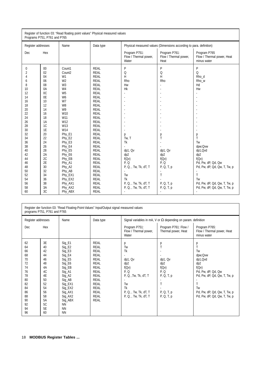| Register of function 03: "Read floating point values" Physical measured values<br>Programs P751, P761 and P765                                                                                                                                                                                                                                                                                           |                                                                                                                                                                                                                                                                                                                                                                      |                                                                                                                                                                                                                                                                                                                                                                                                                                                                               |                                                                                                                                                                                                                |                                                                                                                                 |                                                                                                                                                                                                                                       |  |
|----------------------------------------------------------------------------------------------------------------------------------------------------------------------------------------------------------------------------------------------------------------------------------------------------------------------------------------------------------------------------------------------------------|----------------------------------------------------------------------------------------------------------------------------------------------------------------------------------------------------------------------------------------------------------------------------------------------------------------------------------------------------------------------|-------------------------------------------------------------------------------------------------------------------------------------------------------------------------------------------------------------------------------------------------------------------------------------------------------------------------------------------------------------------------------------------------------------------------------------------------------------------------------|----------------------------------------------------------------------------------------------------------------------------------------------------------------------------------------------------------------|---------------------------------------------------------------------------------------------------------------------------------|---------------------------------------------------------------------------------------------------------------------------------------------------------------------------------------------------------------------------------------|--|
| Register addresses                                                                                                                                                                                                                                                                                                                                                                                       | Name                                                                                                                                                                                                                                                                                                                                                                 | Data type                                                                                                                                                                                                                                                                                                                                                                                                                                                                     | Physical measured values (Dimensions according to para. definition)                                                                                                                                            |                                                                                                                                 |                                                                                                                                                                                                                                       |  |
| Dec<br>Hex                                                                                                                                                                                                                                                                                                                                                                                               |                                                                                                                                                                                                                                                                                                                                                                      |                                                                                                                                                                                                                                                                                                                                                                                                                                                                               | Program P751:<br>Flow / Thermal power,<br>Water                                                                                                                                                                | Program P761:<br>Flow / Thermal power,<br>Heat                                                                                  | Program P765<br>Flow / Thermal power, Heat<br>minus water                                                                                                                                                                             |  |
| $00\,$<br>0<br>$\overline{2}$<br>02<br>04<br>4<br>06<br>6<br>8<br>08<br>0A<br>10<br>0 <sup>C</sup><br>12<br>0E<br>14<br>16<br>10<br>12<br>18<br>20<br>14<br>16<br>22<br>24<br>18<br>1A<br>26<br>1C<br>28<br>1E<br>30<br>32<br>20<br>34<br>22<br>36<br>24<br>26<br>38<br>28<br>40<br>42<br>2A<br>2C<br>44<br>2E<br>46<br>30<br>48<br>32<br>50<br>34<br>52<br>36<br>54<br>38<br>56<br>58<br>3A<br>3C<br>60 | Count1<br>Count <sub>2</sub><br>W <sub>1</sub><br>W <sub>2</sub><br>W <sub>3</sub><br>W <sub>4</sub><br>W <sub>5</sub><br>W <sub>6</sub><br>W7<br>W <sub>8</sub><br>W9<br>W10<br>W11<br>W12<br>W13<br>W14<br>Phy E1<br>Phy_E2<br>Phy_E3<br>Phy_E4<br>Phy_E5<br>Phy_E6<br>Phy_EB<br>Phy_A1<br>Phy_A2<br>Phy_AB<br>Phy_EX1<br>Phy_EX2<br>Phy_AX1<br>Phy_AX2<br>Phy_ABX | <b>REAL</b><br><b>REAL</b><br><b>REAL</b><br><b>REAL</b><br><b>REAL</b><br><b>REAL</b><br><b>REAL</b><br><b>REAL</b><br><b>REAL</b><br><b>REAL</b><br><b>REAL</b><br><b>REAL</b><br><b>REAL</b><br><b>REAL</b><br><b>REAL</b><br><b>REAL</b><br><b>REAL</b><br><b>REAL</b><br><b>REAL</b><br><b>REAL</b><br><b>REAL</b><br><b>REAL</b><br><b>REAL</b><br><b>REAL</b><br><b>REAL</b><br><b>REAL</b><br><b>REAL</b><br><b>REAL</b><br><b>REAL</b><br><b>REAL</b><br><b>REAL</b> | P<br>Q<br>H<br>Rho<br>Hw<br>Hk<br>÷<br>$\blacksquare$<br>p<br>Tw, T<br>Tk<br>dp1, Qv<br>dp <sub>2</sub><br>f(QV)<br>P.Q<br>P, Q, , Tw, Tk, dT, T<br>Tw<br>Tk<br>P, Q, , Tw, Tk, dT, T<br>P, Q, , Tw, Tk, dT, T | P<br>Q<br>H<br>Rho<br>$\blacksquare$<br>р<br>Т<br>dp1, Qv<br>dp2<br>f(QV)<br>P.Q<br>P, Q, T, p<br>T<br>P, Q, T, p<br>P, Q, T, p | P<br>Q<br>Rho d<br>Rho_w<br>Hd<br>Hw<br>$\sim$<br>р<br>Ť<br>Tw<br>dpw:Qvw<br>dp1,Qvd<br>dp2<br>f(QV)<br>Pd, Pw, dP, Qd, Qw<br>Pd, Pw, dP, Qd, Qw, T, Tw, p<br>Τ<br>Tw<br>Pd, Pw, dP, Qd, Qw, T, Tw, p<br>Pd, Pw, dP, Qd, Qw, T, Tw, p |  |

| Register der function 03: "Read Floating-Point-Values" Input/Output signal measured values<br>programs P751, P761 and P765 |                                                                                                          |                                                                                                                                                                                                      |                                                                                                                                                                                                                               |                                                                                                                                         |                                                                                |                                                                                                                                                                                     |
|----------------------------------------------------------------------------------------------------------------------------|----------------------------------------------------------------------------------------------------------|------------------------------------------------------------------------------------------------------------------------------------------------------------------------------------------------------|-------------------------------------------------------------------------------------------------------------------------------------------------------------------------------------------------------------------------------|-----------------------------------------------------------------------------------------------------------------------------------------|--------------------------------------------------------------------------------|-------------------------------------------------------------------------------------------------------------------------------------------------------------------------------------|
| Register addresses                                                                                                         |                                                                                                          | Name                                                                                                                                                                                                 | Data type                                                                                                                                                                                                                     | Signal variables in mA, V or $\Omega$ depending on param. definition                                                                    |                                                                                |                                                                                                                                                                                     |
| Dec                                                                                                                        | Hex                                                                                                      |                                                                                                                                                                                                      |                                                                                                                                                                                                                               | Program P751:<br>Flow / Thermal power,<br>Water                                                                                         | Program P761: Flow /<br>Thermal power, Heat                                    | Program P765:<br>Flow / Thermal power, Heat<br>minus water                                                                                                                          |
| 62<br>64<br>66<br>68<br>70<br>72<br>74<br>76<br>78<br>80<br>82<br>84<br>86<br>88<br>90<br>92<br>94<br>96                   | 3E<br>40<br>42<br>44<br>46<br>48<br>4A<br>4C<br>4E<br>50<br>52<br>54<br>56<br>58<br>5A<br>5C<br>5E<br>60 | Sig_E1<br>$Sig_E2$<br>Sig_E3<br>$Sig_E4$<br>$Sig_E5$<br>Sig_E6<br>Sig_EB<br>Sig_A1<br>Sig_A2<br>Sig_AB<br>Sig_EX1<br>Sig_EX2<br>Sig_AX1<br>Sig_AX2<br>Sig_ABX<br><b>NN</b><br><b>NN</b><br><b>NN</b> | <b>REAL</b><br><b>REAL</b><br><b>REAL</b><br><b>REAL</b><br><b>REAL</b><br><b>REAL</b><br><b>REAL</b><br><b>REAL</b><br><b>REAL</b><br><b>REAL</b><br><b>REAL</b><br><b>REAL</b><br><b>REAL</b><br><b>REAL</b><br><b>REAL</b> | р<br>Tw<br>Tk<br>dp1, Qv<br>dp2<br>f(Qv)<br>P, Q<br>P, Q, , Tw, Tk, dT, T<br>Tw<br>Tk<br>P, Q, , Tw, Tk, dT, T<br>P, Q, , Tw, Tk, dT, T | р<br>dp1, Qv<br>dp2<br>f(Qv)<br>P, Q<br>P, Q, T, p<br>P, Q, T, p<br>P, Q, T, p | р<br>T<br>Tw<br>dpw;Qvw<br>dp1,Qvd<br>dp2<br>f(QV)<br>Pd, Pw, dP, Qd, Qw<br>Pd, Pw, dP, Qd, Qw, T, Tw, p<br>T<br>Tw<br>Pd, Pw, dP, Qd, Qw, T, Tw, p<br>Pd, Pw, dP, Qd, Qw, T, Tw, p |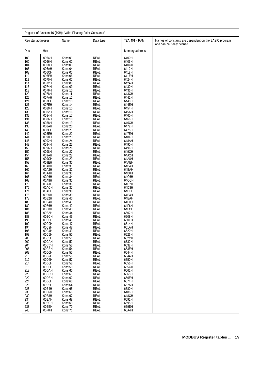| Register of function 16 (10H): "Write Floating Point Constants"                                                                                                                                                                                                                                                                                                                                                                                                                   |                                                                                                                                                                                                                                                                                                                                                                                                                                                                                                                                                                                                                         |                                                                                                                                                                                                                                                                                                                                                                                                                                                                                                                                                                                                                                                                                                                                                                                                                                                   |                                                                                                                                                                                                                                                                                                                                                                                                                                                                                                                                                                                                                                                                                                                                                                                                                                       |                                                                                                                                                                                                                                                                                                                                                                                                                                                                                                                                                                                                                         |                                                                                    |  |  |
|-----------------------------------------------------------------------------------------------------------------------------------------------------------------------------------------------------------------------------------------------------------------------------------------------------------------------------------------------------------------------------------------------------------------------------------------------------------------------------------|-------------------------------------------------------------------------------------------------------------------------------------------------------------------------------------------------------------------------------------------------------------------------------------------------------------------------------------------------------------------------------------------------------------------------------------------------------------------------------------------------------------------------------------------------------------------------------------------------------------------------|---------------------------------------------------------------------------------------------------------------------------------------------------------------------------------------------------------------------------------------------------------------------------------------------------------------------------------------------------------------------------------------------------------------------------------------------------------------------------------------------------------------------------------------------------------------------------------------------------------------------------------------------------------------------------------------------------------------------------------------------------------------------------------------------------------------------------------------------------|---------------------------------------------------------------------------------------------------------------------------------------------------------------------------------------------------------------------------------------------------------------------------------------------------------------------------------------------------------------------------------------------------------------------------------------------------------------------------------------------------------------------------------------------------------------------------------------------------------------------------------------------------------------------------------------------------------------------------------------------------------------------------------------------------------------------------------------|-------------------------------------------------------------------------------------------------------------------------------------------------------------------------------------------------------------------------------------------------------------------------------------------------------------------------------------------------------------------------------------------------------------------------------------------------------------------------------------------------------------------------------------------------------------------------------------------------------------------------|------------------------------------------------------------------------------------|--|--|
| Register addresses                                                                                                                                                                                                                                                                                                                                                                                                                                                                |                                                                                                                                                                                                                                                                                                                                                                                                                                                                                                                                                                                                                         | Name                                                                                                                                                                                                                                                                                                                                                                                                                                                                                                                                                                                                                                                                                                                                                                                                                                              | Data type                                                                                                                                                                                                                                                                                                                                                                                                                                                                                                                                                                                                                                                                                                                                                                                                                             | <b>TZA 401 - RAM</b>                                                                                                                                                                                                                                                                                                                                                                                                                                                                                                                                                                                                    | Names of constants are dependent on the BASIC program<br>and can be freely defined |  |  |
| Dec                                                                                                                                                                                                                                                                                                                                                                                                                                                                               | Hex                                                                                                                                                                                                                                                                                                                                                                                                                                                                                                                                                                                                                     |                                                                                                                                                                                                                                                                                                                                                                                                                                                                                                                                                                                                                                                                                                                                                                                                                                                   |                                                                                                                                                                                                                                                                                                                                                                                                                                                                                                                                                                                                                                                                                                                                                                                                                                       | Memory address                                                                                                                                                                                                                                                                                                                                                                                                                                                                                                                                                                                                          |                                                                                    |  |  |
| 100<br>102<br>104<br>106<br>108<br>110<br>112<br>114<br>116<br>118<br>120<br>122<br>124<br>126<br>128<br>130<br>132<br>134<br>136<br>138<br>140<br>142<br>144<br>146<br>148<br>150<br>152<br>154<br>156<br>158<br>160<br>162<br>164<br>166<br>168<br>170<br>172<br>174<br>176<br>178<br>180<br>182<br>184<br>186<br>188<br>190<br>192<br>194<br>196<br>198<br>200<br>202<br>204<br>206<br>208<br>210<br>212<br>214<br>216<br>218<br>220<br>222<br>224<br>226<br>228<br>230<br>232 | 0064H<br>0066H<br>0068H<br>006AH<br>006CH<br>006EH<br>0070H<br>0072H<br>0074H<br>0076H<br>0078H<br>007AH<br>007CH<br>007EH<br>0080H<br>0082H<br>0084H<br>0086H<br>0088H<br>008AH<br>008CH<br>008EH<br>0090H<br>0092H<br>0094H<br>0096H<br>0098H<br>009AH<br>009CH<br>009EH<br>00A0H<br>00A2H<br>00A4H<br>00A6H<br>00A8H<br>00AAH<br>00ACH<br>00AEH<br>00B0H<br>00B2H<br>00B4H<br>00B6H<br>00B8H<br>00BAH<br>00BCH<br>00BEH<br>00C0H<br>00C2H<br>00C4H<br>00C6H<br>00C8H<br>00CAH<br>00CCH<br>00CEH<br>00D0H<br>00D2H<br>00D4H<br>00D6H<br>00D8H<br>00DAH<br>00DCH<br>00DEH<br>00D0H<br>00D2H<br>00E4H<br>00E6H<br>00E8H | Konst01<br>Konst02<br>Konst03<br>Konst04<br>Konst05<br>Konst <sub>06</sub><br>Konst07<br>Konst08<br>Konst09<br>Konst10<br>Konst11<br>Konst12<br>Konst13<br>Konst14<br>Konst15<br>Konst16<br>Konst17<br>Konst18<br>Konst19<br>Konst20<br>Konst21<br>Konst22<br>Konst23<br>Konst24<br>Konst25<br>Konst26<br>Konst27<br>Konst28<br>Konst29<br>Konst30<br>Konst31<br>Konst32<br>Konst <sub>33</sub><br>Konst34<br>Konst35<br>Konst36<br>Konst37<br>Konst38<br>Konst39<br>Konst40<br>Konst41<br>Konst42<br>Konst43<br>Konst44<br>Konst45<br>Konst46<br>Konst47<br>Konst48<br>Konst49<br>Konst50<br>Konst51<br>Konst <sub>52</sub><br>Konst <sub>53</sub><br>Konst54<br>Konst55<br>Konst <sub>56</sub><br>Konst57<br>Konst58<br>Konst59<br>Konst <sub>60</sub><br>Konst61<br>Konst62<br>Konst63<br>Konst <sub>64</sub><br>Konst65<br>Konst66<br>Konst67 | REAL<br>REAL<br>REAL<br><b>REAL</b><br><b>REAL</b><br><b>REAL</b><br><b>REAL</b><br>REAL<br><b>REAL</b><br>REAL<br><b>REAL</b><br><b>REAL</b><br>REAL<br>REAL<br>REAL<br>REAL<br><b>REAL</b><br><b>REAL</b><br>REAL<br><b>REAL</b><br>REAL<br>REAL<br>REAL<br>REAL<br><b>REAL</b><br><b>REAL</b><br><b>REAL</b><br><b>REAL</b><br>REAL<br><b>REAL</b><br><b>REAL</b><br>REAL<br><b>REAL</b><br><b>REAL</b><br>REAL<br><b>REAL</b><br>REAL<br>REAL<br>REAL<br>REAL<br><b>REAL</b><br><b>REAL</b><br>REAL<br><b>REAL</b><br>REAL<br>REAL<br><b>REAL</b><br>REAL<br><b>REAL</b><br>REAL<br><b>REAL</b><br>REAL<br><b>REAL</b><br><b>REAL</b><br><b>REAL</b><br><b>REAL</b><br><b>REAL</b><br>REAL<br><b>REAL</b><br><b>REAL</b><br><b>REAL</b><br><b>REAL</b><br><b>REAL</b><br><b>REAL</b><br><b>REAL</b><br><b>REAL</b><br><b>REAL</b> | 6400H<br>6406H<br>640CH<br>6412H<br>6418H<br>641EH<br>6424H<br>642AH<br>6430H<br>6436H<br>643CH<br>6442H<br>6448H<br>644EH<br>6454H<br>645AH<br>6460H<br>6466H<br>646CH<br>6472H<br>6478H<br>647EH<br>6484H<br>648AH<br>6490H<br>6496H<br>649CH<br>64A2H<br>64A8H<br>64AEH<br>64B4H<br>64BAH<br>64B0H<br>64C6H<br>64CCH<br>64D2H<br>64D8H<br>64DEH<br>64E4H<br>64EAH<br>64F0H<br>64F6H<br>64FCH<br>6502H<br>6508H<br>650EH<br>6514H<br>651AH<br>6520H<br>6526H<br>652CH<br>6532H<br>6538H<br>653EH<br>6544H<br>654AH<br>6550H<br>6556H<br>655CH<br>6562H<br>6568H<br>656EH<br>6574H<br>657AH<br>6580H<br>6486H<br>648CH |                                                                                    |  |  |
| 234<br>236<br>238<br>240                                                                                                                                                                                                                                                                                                                                                                                                                                                          | 00EAH<br>00ECH<br>00EEH<br>00F0H                                                                                                                                                                                                                                                                                                                                                                                                                                                                                                                                                                                        | Konst68<br>Konst69<br>Konst70<br>Konst71                                                                                                                                                                                                                                                                                                                                                                                                                                                                                                                                                                                                                                                                                                                                                                                                          | <b>REAL</b><br><b>REAL</b><br><b>REAL</b><br><b>REAL</b>                                                                                                                                                                                                                                                                                                                                                                                                                                                                                                                                                                                                                                                                                                                                                                              | 6592H<br>6598H<br>659EH<br>65A4H                                                                                                                                                                                                                                                                                                                                                                                                                                                                                                                                                                                        |                                                                                    |  |  |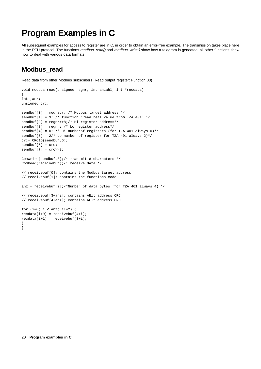# **Program Examples in C**

All subsequent examples for access to register are in C, in order to obtain an error-free example. The transmission takes place here in the RTU protocol. The functions modbus\_read() and modbus\_write() show how a telegram is geneated, all other functions show how to deal with various data formats.

## **Modbus\_read**

Read data from other Modbus subscribers (Read output register: Function 03)

```
void modbus_read(unsigned regnr, int anzahl, int *recdata)
{
inti,anz;
unsigned crc;
sendbuf[0] = mod_adr; /* Modbus target address */
sendbuf[1] = 3; /* function "Read real value from TZA 401'' */
sendbuf[2] = regnr>>8;/* Hi register address*/
sendbuf[3] = regnr; /* Lo register address*/
sendbuf[4] = 0; /* Hi numberof registers (for TZA 401 always 0)*/
sendbuf[5] = 2/* Lo number of register for TZA 401 always 2)*/crc= CRC16(sendbuf,6);
sendbuf[6] = cre;sendbuf[7] = crc>>8;
ComWrite(sendbuf,8);/* transmit 8 characters */
ComRead(receivebuf);/* receive data */
// receivebuf[0]; contains the Modbus target address
// receivebuf[1]; contains the functions code
anz = receivebuf[2];/*Number of data bytes (for TZA 401 always 4) */
// receivebuf[3+anz]; contains AElt address CRC
// receivebuf[4+anz]; contains AElt address CRC
for (i=0; i < \text{anz}; i+=2) {
recdata[i+0] = receivebuf[4+i];\text{readata}[i+1] = \text{receivebut}[3+i];}
}
```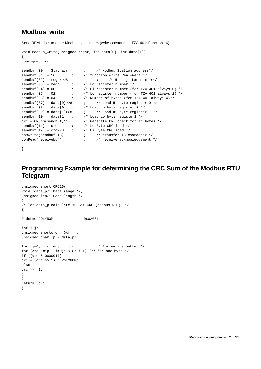### **Modbus\_write**

Send REAL data to other Modbus subscribers (write constants in TZA 401: Function 16)

```
void modbus_write(unsigned regnr, int data[0], int data[1])
{
unsigned crc;
sendbuf[00] = Stat_adr \qquad \qquad ; \qquad \qquad /* Modbus Station address*/
sendbuf[01] = 16 ; /* function write Real-Wert */
sendbuf[02] = regnr>>8 ; /* Hi register number*/<br>sendbuf[03] = regnr ; /* Lo register number */
sendbuf[03] = regnr ;<br>sendbuf[04] = 00 ;
                  sendbuff (for TZA 401 always 0) */<br>i /* Lo register number (for TZA 401 always 2) */<br>i /* Number of bytog (for TZA 401
sendbuf[05] = 02 \qquad ; \qquad /* Lo register number (for TZA 401 always 2) */
sendbuf[06] = 04 \qquad ; \qquad /* Number of bytes (for TZA 401 always 4)*/
sendbuf[07] = data[0]>8 ; /* Load Hi byte register 0 */
sendbuf[08] = data[0] ; /* Load Lo byte register 0 */
sendbuf[09] = data[1]>>8 ; /* Load Hi byte register 1 */
sendbuf[10] = data[1] ; /* Load Lo byte register1 */
crc = CRC16(sendbuf,11); /* Generate CRC check for 11 bytes */
sendbuf[11] = cre ; /* Lo Byte CRC load */
sendbuf[12] = cro>>8 ; /* Hi Byte CRC load */
comWrite(sendbuf,13) ; /* transfer 13 character */
comRead(receivebuf) ; /* receive acknowledgement */
```
}

## **Programming Example for determining the CRC Sum of the Modbus RTU Telegram**

```
unsigned short CRC16(
void *data_p/* Data range */,
unsigned len/* Data length */
)
/* let data_p calculate 16 Bit CRC (Modbus-RTU) */
{
# define POLYNOM 0x0A001
int i,j;
unsigned shortcrc = 0xffff;
unsigned char *_{p} = data_p;
for (j=0; j < len; j++) { / /* for entire buffer */
for (crc \texttt{``="p++},i=0;i < 8; i++) {/* for one byte */
if ((crc & 0x0001))
\text{crc} = (\text{crc} >> 1) ^ POLYNOM;
else
crc \gg=1;
}
}
return (crc);
}
```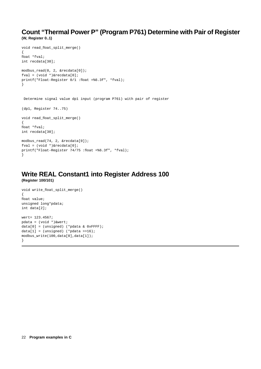### **Count "Thermal Power P" (Program P761) Determine with Pair of Register (W, Register 0..1)**

```
void read_float_split_merge()
{
float *fval;
int recdata[30];
modbus read(0, 2, &recdata[0]);
fval = (void *)&recdata[0];
printf("Float-Register 0/1 :float =%6.3f", *fval);
}
Determine signal value dp1 input (program P761) with pair of register
(dp1, Register 74..75)
void read_float_split_merge()
{
float *fval;
int recdata[30];
modbus_read(74, 2, &recdata[0]);
fval = (void * )&recdata[0];
printf("Float-Register 74/75 :float =%6.3f", *fval);
}
```
### **Write REAL Constant1 into Register Address 100 (Register 100/101)**

```
void write_float_split_merge()
{
float value;
unsigned long*pdata;
int data[2];
wert= 123.4567;
pdata = (void *)&wert;
data[0] = (unsigned) (*pdata & 0xFFFF);
data[1] = (unsigned) (*pdata >>16);
modbus_write(100,data[0],data[1]);
}
```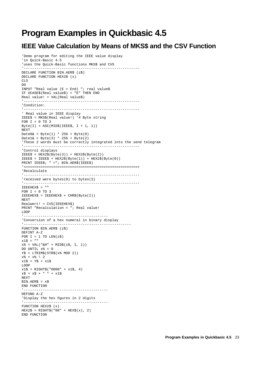# **Program Examples in Quickbasic 4.5**

## **IEEE Value Calculation by Means of MKS\$ and the CSV Function**

```
'Demo program for editing the IEEE value display
'in Quick-Basic 4.5
'uses the Quick-Basic functions MKS$ and CVS
\mathbf{1}_{-1} , \mathbf{1}_{-1} , \mathbf{1}_{-1} , \mathbf{1}_{-1} , \mathbf{1}_{-1} , \mathbf{1}_{-1} , \mathbf{1}_{-1} , \mathbf{1}_{-1} , \mathbf{1}_{-1} , \mathbf{1}_{-1} , \mathbf{1}_{-1} , \mathbf{1}_{-1} , \mathbf{1}_{-1} , \mathbf{1}_{-1} , \mathbf{1}_{-1} , \mathbf{1}_{-1}DECLARE FUNCTION BIN.AER$ (z$)
DECLARE FUNCTION HEX2$ (x)
CT.CDO
INPUT "Real value (E = End) "; real value$
IF UCASE$(Real value$) = "E" THEN END
Real value! = VAL(Real value$)
'-------------------------------------------------------
'Condition:
                                             '-------------------------------------------------------
' Real value in IEEE display
IEEE$ = MKS$(Real value!) '4 Byte string
FOR I = 0 TO 3
Byte(I) = ASC(MID$(IEEE$, I + 1, 1))NEXT
Date0& = Byte(1) * 256 + Byte(0)Date1\& = Byte(3) * 256 + Byte(2)
'These 2 words must be correctly integrated into the send telegram
'-------------------------------------------------------
'Control displays
IEEE$ = HEX2$ (Byte(3)) + HEX2$ (Byte(2))IEEE$ = IEEE$ + HEX2$ (Byte(1)) + HEX2$ (Byte(0))PRINT IEEE$; " ="; BIN.AER$(IEEE$)
'=======================================================
'Recalculate
 '-------------------------------------------------------
'received were bytes(0) to bytes(3)
'-------------------------------------------------------
IEEEHEX$ = ""
FOR I = 0 TO 3
IEEEHEX$ = IEEEHEX$ + CHR$(Byte(I))
NEXT
Realwert! = CVS(IEEEHEX$)
PRINT "Recalculation = "; Real value!
LOOP
'----------------------------------------
'Conversion of a hex numeral in binary display
 '---------------------------------------------------
FUNCTION BIN.AER$ (z$)
DEFINT A-Z
FOR I = 1 TO LEN(z$)x1\ = ""
x^* = \text{VAL}("&H" + \text{MID$}(z$, I, 1))DO UNTIL x^* = 0Y$ = LTRIM$(STR$(x% MOD 2))
x^* = x^* \ \ 2x1\ = Y\ + x1\LOOP
x1\ = RIGHT$("0000" + x1\ , 4)
x\hat{S} = x\hat{S} + " " + x1\hat{S}NEXT
BIN.AER$ = x$END FUNCTION
'----------------------------------------
DEFSNG A-Z
'Display the hex figures in 2 digits
'----------------------------------------
FUNCTION HEX2$ (x)
HEX2$ = RIGHTS("00" + HEXS(x), 2)END FUNCTION
```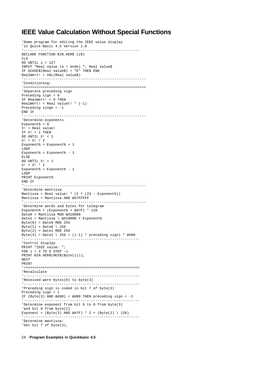### **IEEE Value Calculation Without Special Functions**

```
'Demo program for editing the IEEE value display
'in Quick-Basic 4.5 Version 1.0
'-------------------------------------------------------
DECLARE FUNCTION BIN.AER$ (z$)
CT.SDO UNTIL i = 127
INPUT "Real value (e = ende) "; Real value$
IF UCASE$(Real value$) = "E" THEN END
RealWert! = VAL(Real value$)
 '----------------------------------------------------------
'Conditioning:
'==========================================================
'Separate preceding sign
Preceding sign = 0
IF RealWert! < 0 THEN
RealWert! = Real valuet! *(-1)Preceding singn = -1
END IF
 '----------------------------------------------------------
'Determine exponents
Exponent = 0X! = Real value!
IF X! > 1 THENDO UNTIL X! < 1
X! = X! / 2Exponent% = Exponent% + 1
LOOP
Exponent% = Exponent% - 1
ELSE
DO UNTIL X! > 1
X! = X! * 2Exponent% = Exponent% - 1
LOOP
PRINT Exponent%
END IF
              '----------------------------------------------------------
'Determine mantissa
Mantissa = Real value! * (2 \land (23 - Exponent%))
Mantissa = Mantissa AND &H7FFFFF
 '----------------------------------------------------------
'Determine words and bytes for telegram
Exponent% = (Exponent% + &H7F) * 128
Date0 = Mantissa MOD &H10000
Date1 = Mantissa \ &H10000 + Exponent%
Byte(0) = Date0 MOD 256Bvte(1) = Date0 \setminus 256Byte(2) = Date1 MOD 256Byte(3) = Date1 \ 256 + ((-1) * preceding sign) * \&H80
 '-------------------------------------------------------
'Control display
PRINT "IEEE value: ";
FOR i = 3 TO 0 STEP -1PRINT BIN.AER$(HEX$(Byte(i)));
NEXT
PRINT
'=======================================================
'Recalculate
           '-------------------------------------------------------
'Received were bytes(0) to byte(3)
'-------------------------------------------------------
'Preceding sign is coded in bit 7 of byte(3)
Preceding sign = 1
IF (Byte(3) AND &H80) = &H80 THEN preceding sign = -1
'-------------------------------------------------------
'Determine exponent from bit 6 to 0 from byte(3)
'and bit 8 from byte(2)
Exponent = (Byte(3) AND kH7F) * 2 + (Byte(2) \setminus 128)'-------------------------------------------------------
'Determine mantissa:
'Set bit 7 of byte(3),
```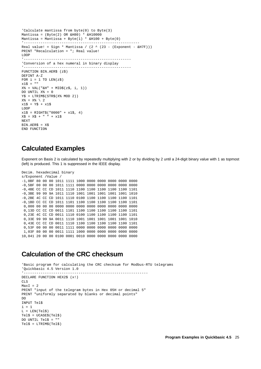```
'Calculate mantissa from byte(0) to Byte(3)
Mantissa = (Byte(2) OR &H80) * &H10000Mantissa = Mantissa + Byte(1) * &H100 + Byte(0)'-------------------------------------------------------
Real value! = Sign * Mantissa / (2 \land (23 - (Exponent - \&H7F)))PRINT "Recalculation = "; Real value!
LOOP
          '---------------------------------------------------
'Conversion of a hex numeral in binary display
'---------------------------------------------------
FUNCTION BIN.AER$ (z$)
DEFINT A-Z
FOR i = 1 TO LEN(z\hat{S})
x1\ = ""
X^* = VAL("&H" + MID$(z$, i, 1))DO UNTIL X% = 0
Y\ = LTRIM\(STR\(X\ MOD 2))
X<sup>o</sup> = X<sup>o</sup> \setminus 2x1\ = Y\ + x1\LOOP
x1\ = RIGHT$("0000" + x1\, 4)
X\ = X\ + " " + x1\NEXT
BIN.AER$ = X$END FUNCTION
```
### **Calculated Examples**

Exponent on Basis 2 is calculated by repeatedly multiplying with 2 or by dividing by 2 until a 24-digit binary value with 1 as topmost (left) is produced. This 1 is suppressed in the IEEE display.

```
Decim. hexadecimal binary
s/Exponent /Value /
-1,0BF 80 00 00 1011 1111 1000 0000 0000 0000 0000 0000
-0,5BF 00 00 00 1011 1111 0000 0000 0000 0000 0000 0000
-0,4BE CC CC CD 1011 1110 1100 1100 1100 1100 1100 1101
-0,3BE 99 99 9A 1011 1110 1001 1001 1001 1001 1001 1010
-0,2BE 4C CC CD 1011 1110 0100 1100 1100 1100 1100 1101
-0,1BD CC CC CD 1011 1101 1100 1100 1100 1100 1100 1101
 0,000 00 00 00 0000 0000 0000 0000 0000 0000 0000 0000
 0,13D CC CC CD 0011 1101 1100 1100 1100 1100 1100 1101
 0,23E 4C CC CD 0011 1110 0100 1100 1100 1100 1100 1101
 0,33E 99 99 9A 0011 1110 1001 1001 1001 1001 1001 1010
0,43E CC CC CD 0011 1110 1100 1100 1100 1100 1100 1101
0,53F 00 00 00 0011 1111 0000 0000 0000 0000 0000 0000
1,03F 80 00 00 0011 1111 1000 0000 0000 0000 0000 0000
10,041 20 00 00 0100 0001 0010 0000 0000 0000 0000 0000
```
### **Calculation of the CRC checksum**

```
'Basic program for calculating the CRC checksum for Modbus-RTU telegrams
'Quickbasic 4.5 Version 1.0
                                     '-----------------------------------------------------------
DECLARE FUNCTION HEX2$ (x!)
CLS<sup>S</sup>
MaxI = 2PRINT "input of the telegram bytes in Hex 05H or decimal 5"
PRINT "uniformly separated by blanks or decimal points"
DO
INPUT Tel$
i=1
L = LEN(Tel$)T = UCASES(Te1S)DO UNTIL Tel$ = ""
Tel$ = LTRIM$(Tel$)
```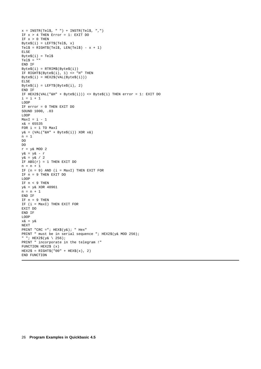```
x = INSTR(Tel\, " ") + INSTR(Tel\, ", ")
IF x > 4 THEN Error = 1: EXIT DO
IF x > 0 THEN
BvteS(i) = LEFTS(TelS, x)Tel$ = RIGHT$(Tel$, LEN(Tel$) - x + 1)ELSE
Bytes(i) = Tel$Tel$ = ""END IF
Byte$(i) = RTRIM$(Byte$(i))
IF RIGHT$(Byte$(i), 1) <> "H" THEN
Byte$(i) = HEX2$(VAL(Byte$(i)))
ELSE
Byte\$(i) = LEFT\$(Byte\$(i), 2)END IF
IF HEX2$(VAL("&H" + Byte$(i))) <> Byte$(i) THEN error = 1: EXIT DO
i = i + 1LOOP
IF error = 0 THEN EXIT DO
SOUND 1000, .03
LOOP
MaxI = i - 1x_{\text{A}} = 65535FOR i = 1 TO MaxI
y& = (VAL(T&H'' + Byte\zeta(i))) XOR x&n = 1D<sub>O</sub>DO
r = y& MOD 2
y& = y& - r
y& = y& / 2IF ABS(r) = 1 THEN EXIT DO
n = n + 1IF (n = 9) AND (i = MaxI) THEN EXIT FOR
IF n = 9 THEN EXIT DO
LOOP
IF n < 9 THEN
y& = y& XOR 40961
n = n + 1END IF
IF n = 9 THEN
IF (i = MaxI) THEN EXIT FOR
EXIT DO
END IF
LOOP
x& = y&NEXT
PRINT "CRC ="; HEX\(y\); " Hex"
PRINT " must be in serial sequence "; HEX2$(y& MOD 256);
" "; HEX2$(y& \ 256);
PRINT " incorporate in the telegram !"
FUNCTION HEX2$ (x)
HEX2$ = RIGHT$('00" + HEX$(x), 2)END FUNCTION
```